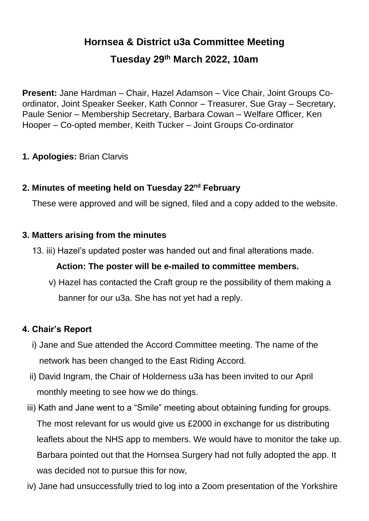# **Hornsea & District u3a Committee Meeting**

### **Tuesday 29th March 2022, 10am**

**Present:** Jane Hardman – Chair, Hazel Adamson – Vice Chair, Joint Groups Coordinator, Joint Speaker Seeker, Kath Connor – Treasurer, Sue Gray – Secretary, Paule Senior – Membership Secretary, Barbara Cowan – Welfare Officer, Ken Hooper – Co-opted member, Keith Tucker – Joint Groups Co-ordinator

#### **1. Apologies:** Brian Clarvis

#### **2. Minutes of meeting held on Tuesday 22nd February**

These were approved and will be signed, filed and a copy added to the website.

#### **3. Matters arising from the minutes**

13. iii) Hazel's updated poster was handed out and final alterations made.

### **Action: The poster will be e-mailed to committee members.**

 v) Hazel has contacted the Craft group re the possibility of them making a banner for our u3a. She has not yet had a reply.

### **4. Chair's Report**

- i) Jane and Sue attended the Accord Committee meeting. The name of the network has been changed to the East Riding Accord.
- ii) David Ingram, the Chair of Holderness u3a has been invited to our April monthly meeting to see how we do things.
- iii) Kath and Jane went to a "Smile" meeting about obtaining funding for groups. The most relevant for us would give us £2000 in exchange for us distributing leaflets about the NHS app to members. We would have to monitor the take up. Barbara pointed out that the Hornsea Surgery had not fully adopted the app. It was decided not to pursue this for now,
- iv) Jane had unsuccessfully tried to log into a Zoom presentation of the Yorkshire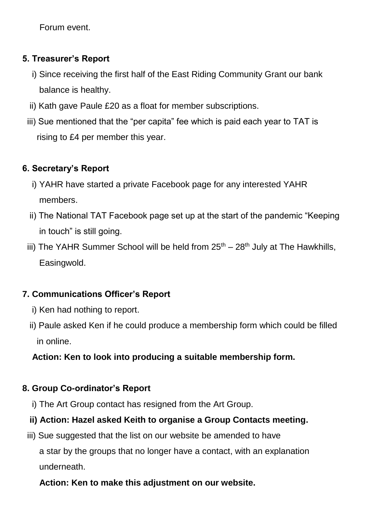Forum event.

### **5. Treasurer's Report**

- i) Since receiving the first half of the East Riding Community Grant our bank balance is healthy.
- ii) Kath gave Paule £20 as a float for member subscriptions.
- iii) Sue mentioned that the "per capita" fee which is paid each year to TAT is rising to £4 per member this year.

### **6. Secretary's Report**

- i) YAHR have started a private Facebook page for any interested YAHR members.
- ii) The National TAT Facebook page set up at the start of the pandemic "Keeping in touch" is still going.
- iii) The YAHR Summer School will be held from  $25<sup>th</sup> 28<sup>th</sup>$  July at The Hawkhills, Easingwold.

# **7. Communications Officer's Report**

- *i*) Ken had nothing to report.
- ii) Paule asked Ken if he could produce a membership form which could be filled in online.

# **Action: Ken to look into producing a suitable membership form.**

### **8. Group Co-ordinator's Report**

i) The Art Group contact has resigned from the Art Group.

# **ii) Action: Hazel asked Keith to organise a Group Contacts meeting.**

iii) Sue suggested that the list on our website be amended to have a star by the groups that no longer have a contact, with an explanation underneath.

# **Action: Ken to make this adjustment on our website.**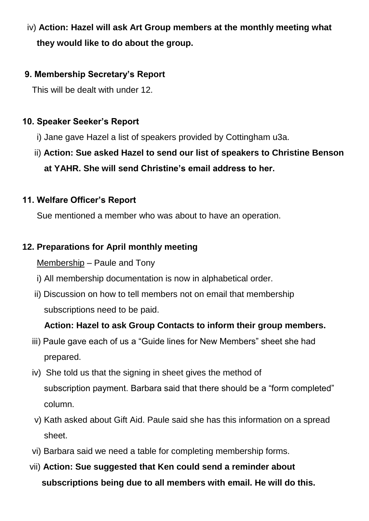# iv) **Action: Hazel will ask Art Group members at the monthly meeting what they would like to do about the group.**

### **9. Membership Secretary's Report**

This will be dealt with under 12.

### **10. Speaker Seeker's Report**

i) Jane gave Hazel a list of speakers provided by Cottingham u3a.

# ii) **Action: Sue asked Hazel to send our list of speakers to Christine Benson at YAHR. She will send Christine's email address to her.**

### **11. Welfare Officer's Report**

Sue mentioned a member who was about to have an operation.

### **12. Preparations for April monthly meeting**

### Membership – Paule and Tony

- i) All membership documentation is now in alphabetical order.
- ii) Discussion on how to tell members not on email that membership subscriptions need to be paid.

### **Action: Hazel to ask Group Contacts to inform their group members.**

- iii) Paule gave each of us a "Guide lines for New Members" sheet she had prepared.
- iv) She told us that the signing in sheet gives the method of subscription payment. Barbara said that there should be a "form completed" column.
- v) Kath asked about Gift Aid. Paule said she has this information on a spread sheet.
- vi) Barbara said we need a table for completing membership forms.
- vii) **Action: Sue suggested that Ken could send a reminder about subscriptions being due to all members with email. He will do this.**